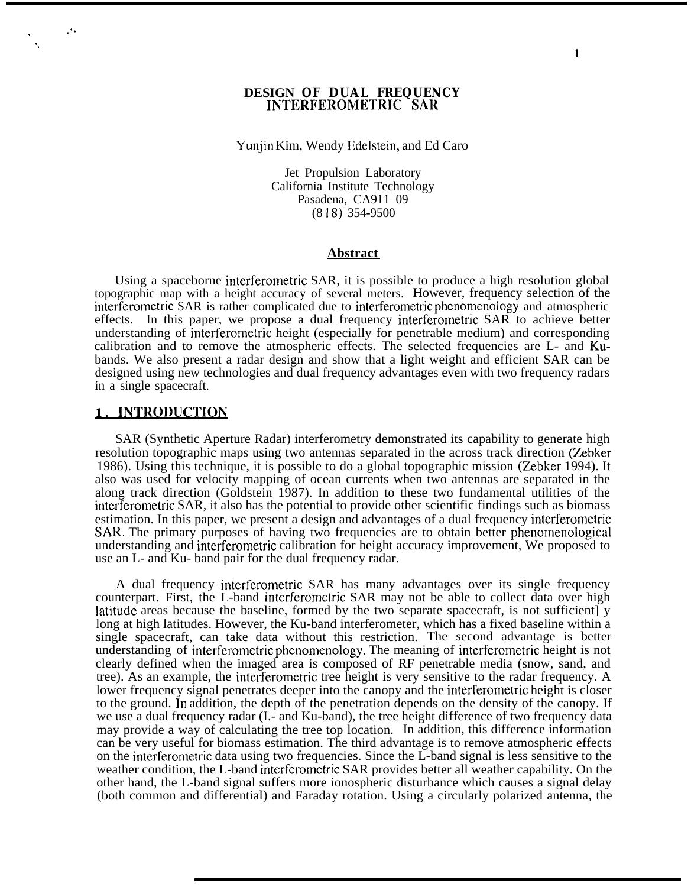### **DESIGN OF DUAL FREQUENCY INTERFEROMETRIC SAR**

#### Yunjin Kim, Wendy Edelstein, and Ed Caro

Jet Propulsion Laboratory California Institute Technology Pasadena, CA911 09 (8 18) 354-9500

#### **Abstract**

Using a spaceborne interferometric SAR, it is possible to produce a high resolution global topographic map with a height accuracy of several meters. However, frequency selection of the interferometric SAR is rather complicated due to interferometric phenomenology and atmospheric effects. In this paper, we propose a dual frequency interferometric SAR to achieve better understanding of interferometric height (especially for penetrable medium) and corresponding calibration and to remove the atmospheric effects. The selected frequencies are L- and Kubands. We also present a radar design and show that a light weight and efficient SAR can be designed using new technologies and dual frequency advantages even with two frequency radars in a single spacecraft.

## **1. INTRODUCTION**

. . .

. \$.

> SAR (Synthetic Aperture Radar) interferometry demonstrated its capability to generate high resolution topographic maps using two antennas separated in the across track direction (Zebker 1986). Using this technique, it is possible to do a global topographic mission (Zebker 1994). It also was used for velocity mapping of ocean currents when two antennas are separated in the along track direction (Goldstein 1987). In addition to these two fundamental utilities of the interferometric SAR, it also has the potential to provide other scientific findings such as biomass estimation. In this paper, we present a design and advantages of a dual frequency interferometric SAR. The primary purposes of having two frequencies are to obtain better phenomenological understanding and interferometric calibration for height accuracy improvement, We proposed to use an L- and Ku- band pair for the dual frequency radar.

> A dual frequency interferometric SAR has many advantages over its single frequency counterpart. First, the L-band interferometric SAR may not be able to collect data over high ]atitude areas because the baseline, formed by the two separate spacecraft, is not sufficient] y long at high latitudes. However, the Ku-band interferometer, which has a fixed baseline within a single spacecraft, can take data without this restriction. The second advantage is better understanding of interferometric phenomenology. The meaning of interferometric height is not clearly defined when the imaged area is composed of RF penetrable media (snow, sand, and tree). As an example, the interferornetric tree height is very sensitive to the radar frequency. A lower frequency signal penetrates deeper into the canopy and the interferometric height is closer to the ground. In addition, the depth of the penetration depends on the density of the canopy. If we use a dual frequency radar (I.- and Ku-band), the tree height difference of two frequency data may provide a way of calculating the tree top location. In addition, this difference information can be very useful for biomass estimation. The third advantage is to remove atmospheric effects on the interferometric data using two frequencies. Since the L-band signal is less sensitive to the weather condition, the L-band interferometric SAR provides better all weather capability. On the other hand, the L-band signal suffers more ionospheric disturbance which causes a signal delay (both common and differential) and Faraday rotation. Using a circularly polarized antenna, the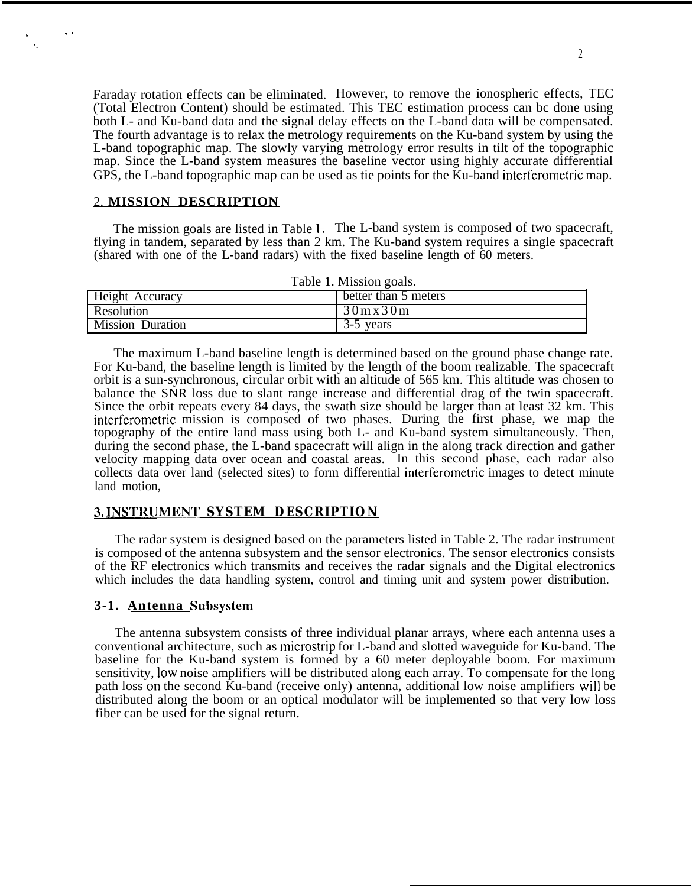Faraday rotation effects can be eliminated. However, to remove the ionospheric effects, TEC (Total Electron Content) should be estimated. This TEC estimation process can bc done using both L- and Ku-band data and the signal delay effects on the L-band data will be compensated. The fourth advantage is to relax the metrology requirements on the Ku-band system by using the L-band topographic map. The slowly varying metrology error results in tilt of the topographic map. Since the L-band system measures the baseline vector using highly accurate differential GPS, the L-band topographic map can be used as tie points for the Ku-band interferometric map.

## 2. **MISSION DESCRIPTION**

 $\mathcal{L}$  .

. '.

> The mission goals are listed in Table 1. The L-band system is composed of two spacecraft, flying in tandem, separated by less than 2 km. The Ku-band system requires a single spacecraft (shared with one of the L-band radars) with the fixed baseline length of 60 meters.

| Table 1. Mission goals. |                                                  |  |  |
|-------------------------|--------------------------------------------------|--|--|
| Height Accuracy         | better than 5 meters                             |  |  |
| Resolution              | $30 \,\mathrm{m} \,\mathrm{x} \,30 \,\mathrm{m}$ |  |  |
| <b>Mission Duration</b> | 3-5 years                                        |  |  |

The maximum L-band baseline length is determined based on the ground phase change rate. For Ku-band, the baseline length is limited by the length of the boom realizable. The spacecraft orbit is a sun-synchronous, circular orbit with an altitude of 565 km. This altitude was chosen to balance the SNR loss due to slant range increase and differential drag of the twin spacecraft. Since the orbit repeats every 84 days, the swath size should be larger than at least  $32 \text{ km}$ . This interferometric mission is composed of two phases. During the first phase, we map the topography of the entire land mass using both L- and Ku-band system simultaneously. Then, during the second phase, the L-band spacecraft will align in the along track direction and gather velocity mapping data over ocean and coastal areas. In this second phase, each radar also collects data over land (selected sites) to form differential interferornetric images to detect minute land motion,

# **3. INSTRUMENT SYSTEM DESCRIPTION**

The radar system is designed based on the parameters listed in Table 2. The radar instrument is composed of the antenna subsystem and the sensor electronics. The sensor electronics consists of the RF electronics which transmits and receives the radar signals and the Digital electronics which includes the data handling system, control and timing unit and system power distribution.

#### **3-1. Antenna Subsvstenfl**

The antenna subsystem consists of three individual planar arrays, where each antenna uses a conventional architecture, such as microstrip for L-band and slotted waveguide for Ku-band. The baseline for the Ku-band system is formed by a 60 meter deployable boom. For maximum sensitivity, low noise amplifiers will be distributed along each array. To compensate for the long path loss on the second Ku-band (receive only) antenna, additional low noise amplifiers will be distributed along the boom or an optical modulator will be implemented so that very low loss fiber can be used for the signal return.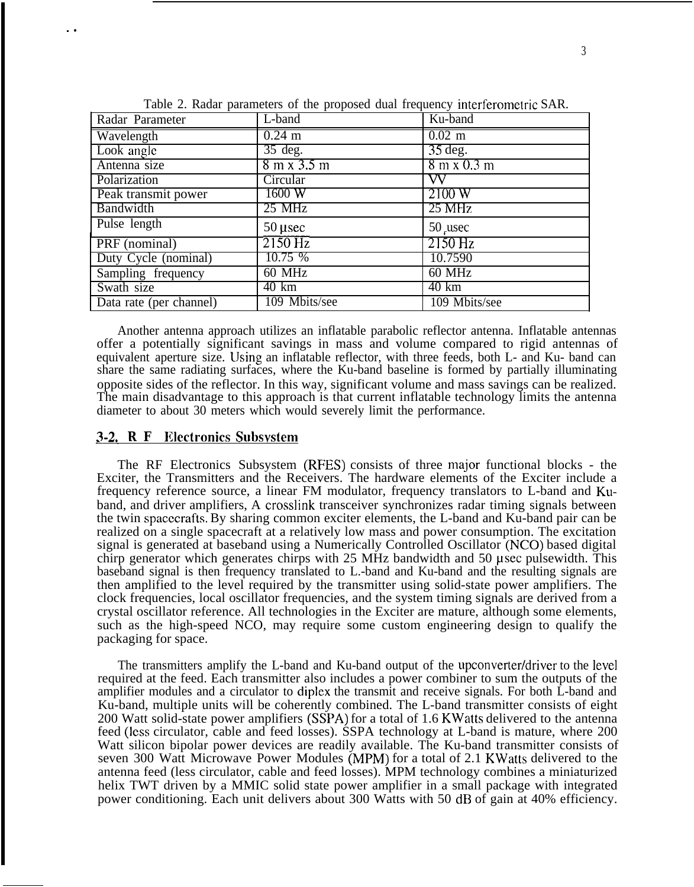| Radar Parameter         | L-band                             | Ku-band                            |
|-------------------------|------------------------------------|------------------------------------|
| Wavelength              | $0.24 \text{ m}$                   | $0.02$ m                           |
| Look angle              | $35 \text{ deg.}$                  | $35 \deg.$                         |
| Antenna size            | $8 \text{ m} \times 3.5 \text{ m}$ | $8 \text{ m} \times 0.3 \text{ m}$ |
| Polarization            | Circular                           | VV                                 |
| Peak transmit power     | 1600 W                             | 2100W                              |
| Bandwidth               | 25 MHz                             | 25 MHz                             |
| Pulse length            | $50$ µsec                          | 50 usec                            |
| PRF (nominal)           | $2150$ Hz                          | $2150$ Hz                          |
| Duty Cycle (nominal)    | 10.75 %                            | 10.7590                            |
| Sampling frequency      | 60 MHz                             | $60$ MHz                           |
| Swath size              | $40 \text{ km}$                    | $40 \text{ km}$                    |
| Data rate (per channel) | 109 Mbits/see                      | 109 Mbits/see                      |

Table 2. Radar parameters of the proposed dual frequency interferometric SAR.

Another antenna approach utilizes an inflatable parabolic reflector antenna. Inflatable antennas offer a potentially significant savings in mass and volume compared to rigid antennas of equivalent aperture size. lJsing an inflatable reflector, with three feeds, both L- and Ku- band can share the same radiating surfaces, where the Ku-band baseline is formed by partially illuminating opposite sides of the reflector. In this way, significant volume and mass savings can be realized. The main disadvantage to this approach is that current inflatable technology limits the antenna diameter to about 30 meters which would severely limit the performance.

## **u**3-2 **RF Illectronics Subsvstern**

. .

The RF Electronics Subsystem (RFES) consists of three major functional blocks - the Exciter, the Transmitters and the Receivers. The hardware elements of the Exciter include a frequency reference source, a linear FM modulator, frequency translators to L-band and Kuband, and driver amplifiers, A crosslink transceiver synchronizes radar timing signals between the twin spacccrafts. By sharing common exciter elements, the L-band and Ku-band pair can be realized on a single spacecraft at a relatively low mass and power consumption. The excitation signal is generated at baseband using a Numerically Controlled Oscillator (NCO) based digital chirp generator which generates chirps with  $25$  MHz bandwidth and  $50$  usec pulsewidth. This baseband signal is then frequency translated to L.-band and Ku-band and the resulting signals are then amplified to the level required by the transmitter using solid-state power amplifiers. The clock frequencies, local oscillator frequencies, and the system timing signals are derived from a crystal oscillator reference. All technologies in the Exciter are mature, although some elements, such as the high-speed NCO, may require some custom engineering design to qualify the packaging for space.

The transmitters amplify the L-band and Ku-band output of the upconverter/driver to the level required at the feed. Each transmitter also includes a power combiner to sum the outputs of the amplifier modules and a circulator to diplex the transmit and receive signals. For both L-band and Ku-band, multiple units will be coherently combined. The L-band transmitter consists of eight 200 Watt solid-state power amplifiers (SSPA) for a total of 1.6 KWatts delivered to the antenna feed (less circulator, cable and feed losses). SSPA technology at L-band is mature, where 200 Watt silicon bipolar power devices are readily available. The Ku-band transmitter consists of seven 300 Watt Microwave Power Modules (MPM) for a total of 2.1 KWatts delivered to the antenna feed (less circulator, cable and feed losses). MPM technology combines a miniaturized helix TWT driven by a MMIC solid state power amplifier in a small package with integrated power conditioning. Each unit delivers about 300 Watts with 50 dB of gain at 40% efficiency.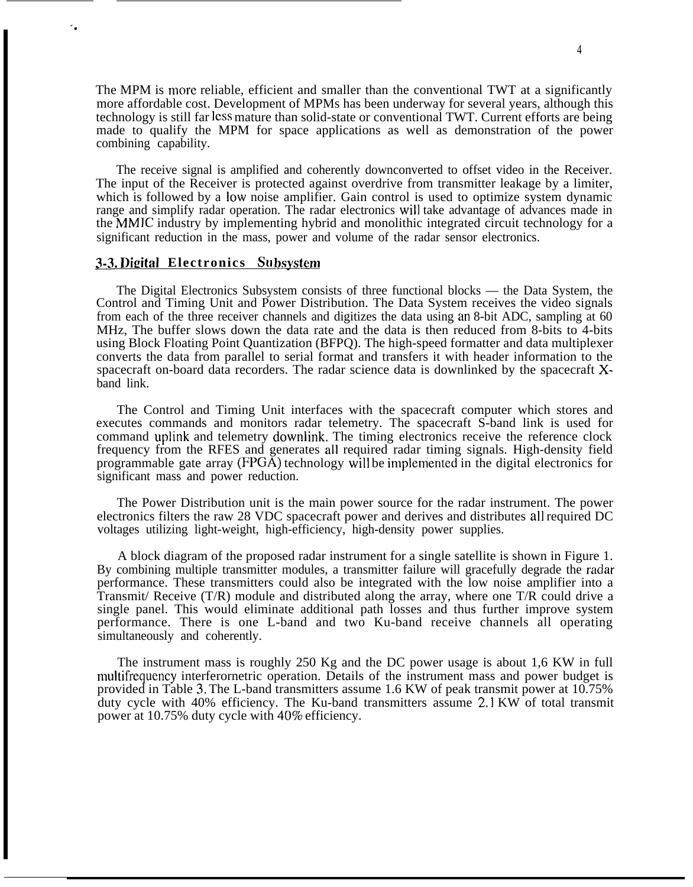The MPM is more reliable, efficient and smaller than the conventional TWT at a significantly more affordable cost. Development of MPMs has been underway for several years, although this technology is still far less mature than solid-state or conventional TWT. Current efforts are being made to qualify the MPM for space applications as well as demonstration of the power combining capability.

The receive signal is amplified and coherently downconverted to offset video in the Receiver. The input of the Receiver is protected against overdrive from transmitter leakage by a limiter, which is followed by a low noise amplifier. Gain control is used to optimize system dynamic range and simplify radar operation. The radar electronics will take advantage of advances made in the MMIC industry by implementing hybrid and monolithic integrated circuit technology for a significant reduction in the mass, power and volume of the radar sensor electronics.

# **3-3. Digital Electronics Subsystem**

"\*

The Digital Electronics Subsystem consists of three functional blocks — the Data System, the Control and Timing Unit and Power Distribution. The Data System receives the video signals from each of the three receiver channels and digitizes the data using an 8-bit ADC, sampling at 60 MHz, The buffer slows down the data rate and the data is then reduced from 8-bits to 4-bits using Block Floating Point Quantization (BFPQ). The high-speed formatter and data multiplexer converts the data from parallel to serial format and transfers it with header information to the spacecraft on-board data recorders. The radar science data is downlinked by the spacecraft Xband link.

The Control and Timing Unit interfaces with the spacecraft computer which stores and executes commands and monitors radar telemetry. The spacecraft S-band link is used for command uplink and telemetry downlink. The timing electronics receive the reference clock frequency from the RFES and generates all required radar timing signals. High-density field programmable gate array  $(FPG\overline{A})$  technology will be implemented in the digital electronics for significant mass and power reduction.

The Power Distribution unit is the main power source for the radar instrument. The power electronics filters the raw 28 VDC spacecraft power and derives and distributes all required DC voltages utilizing light-weight, high-efficiency, high-density power supplies.

A block diagram of the proposed radar instrument for a single satellite is shown in Figure 1. By combining multiple transmitter modules, a transmitter failure will gracefully degrade the radar performance. These transmitters could also be integrated with the low noise amplifier into a Transmit/ Receive (T/R) module and distributed along the array, where one T/R could drive a single panel. This would eliminate additional path losses and thus further improve system performance. There is one L-band and two Ku-band receive channels all operating simultaneously and coherently.

The instrument mass is roughly 250 Kg and the DC power usage is about 1,6 KW in full multifrequency interferornetric operation. Details of the instrument mass and power budget is provided in Table 3. The L-band transmitters assume 1.6 KW of peak transmit power at 10.75% duty cycle with 40% efficiency. The Ku-band transmitters assume 2,1 KW of total transmit power at 10.75% duty cycle with 4070 efficiency.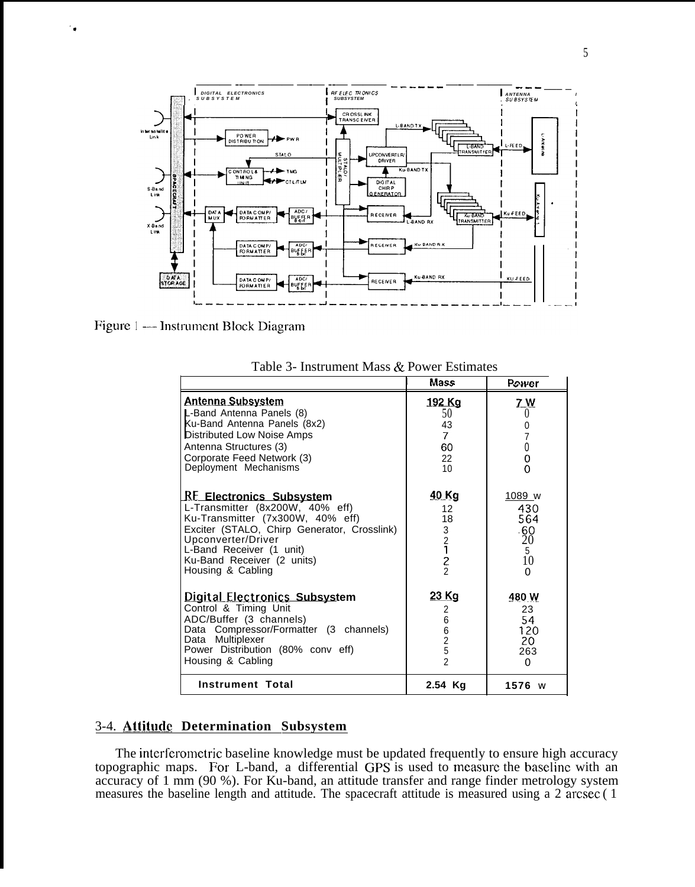

Figure 1 - Instrument Block Diagram

'.

|                                                                                                                                                                                                                                                            | Mass                                                                                    | Power                                                    |
|------------------------------------------------------------------------------------------------------------------------------------------------------------------------------------------------------------------------------------------------------------|-----------------------------------------------------------------------------------------|----------------------------------------------------------|
| <u>Antenna Subsystem</u><br>L-Band Antenna Panels (8)<br>Ku-Band Antenna Panels (8x2)<br>Distributed Low Noise Amps<br>Antenna Structures (3)<br>Corporate Feed Network (3)<br>Deployment Mechanisms                                                       | 192 Kg<br>50<br>43<br>7<br>60<br>22<br>10                                               | 7 W<br>$\theta$<br>0<br>$\overline{7}$<br>0<br>0<br>0    |
| <b>RE Electronics Subsystem</b><br>L-Transmitter (8x200W, 40% eff)<br>Ku-Transmitter (7x300W, 40% eff)<br>Exciter (STALO, Chirp Generator, Crosslink)<br>Upconverter/Driver<br>L-Band Receiver (1 unit)<br>Ku-Band Receiver (2 units)<br>Housing & Cabling | <u>40 Kg</u><br>12<br>18<br>$\begin{array}{c} 3 \\ 2 \\ 1 \end{array}$<br>$\frac{2}{2}$ | 1089 w<br>430<br>564<br>-60<br>20<br>5<br>10<br>$\Omega$ |
| <b>Digital Electronics Subsystem</b><br>Control & Timing Unit<br>ADC/Buffer (3 channels)<br>Data Compressor/Formatter (3 channels)<br>Data Multiplexer<br>Power Distribution (80% conv eff)<br>Housing & Cabling                                           | 23 Kg<br>2<br>6<br>$\begin{array}{c} 6 \\ 2 \end{array}$<br>5<br>$\mathfrak{p}$         | 480 W<br>23<br>54<br>120<br>20<br>263<br>$\Omega$        |
| <b>Instrument Total</b>                                                                                                                                                                                                                                    | 2.54 Ka                                                                                 | $1576$ W                                                 |

Table 3- Instrument Mass & Power Estimates

# 3-4. **Attitu&e Determination Subsystem**

The interferometric baseline knowledge must be updated frequently to ensure high accuracy topographic maps. For L-band, a differential GPS is used to measure the baseline with an accuracy of 1 mm (90 %). For Ku-band, an attitude transfer and range finder metrology system measures the baseline length and attitude. The spacecraft attitude is measured using a 2 arcsec ( 1